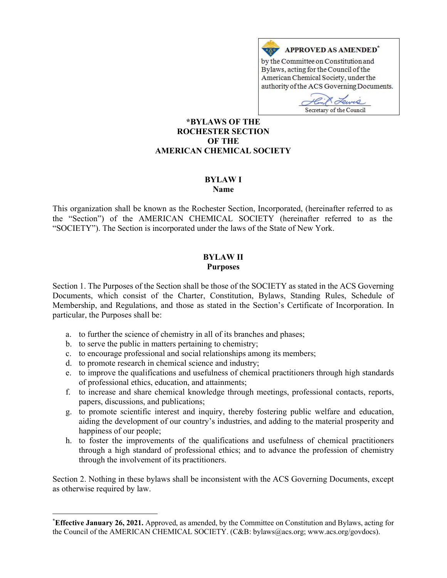

American Chemical Society, under the authority of the ACS Governing Documents.

Hin Lewis Secretary of the Council

#### \*BYLAWS OF THE ROCHESTER SECTION OF THE AMERICAN CHEMICAL SOCIETY

#### BYLAW I Name

This organization shall be known as the Rochester Section, Incorporated, (hereinafter referred to as the "Section") of the AMERICAN CHEMICAL SOCIETY (hereinafter referred to as the "SOCIETY"). The Section is incorporated under the laws of the State of New York.

#### BYLAW II Purposes

Section 1. The Purposes of the Section shall be those of the SOCIETY as stated in the ACS Governing Documents, which consist of the Charter, Constitution, Bylaws, Standing Rules, Schedule of Membership, and Regulations, and those as stated in the Section's Certificate of Incorporation. In particular, the Purposes shall be:

- a. to further the science of chemistry in all of its branches and phases;
- b. to serve the public in matters pertaining to chemistry;
- c. to encourage professional and social relationships among its members;
- d. to promote research in chemical science and industry;
- e. to improve the qualifications and usefulness of chemical practitioners through high standards of professional ethics, education, and attainments;
- f. to increase and share chemical knowledge through meetings, professional contacts, reports, papers, discussions, and publications;
- g. to promote scientific interest and inquiry, thereby fostering public welfare and education, aiding the development of our country's industries, and adding to the material prosperity and happiness of our people;
- h. to foster the improvements of the qualifications and usefulness of chemical practitioners through a high standard of professional ethics; and to advance the profession of chemistry through the involvement of its practitioners.

Section 2. Nothing in these bylaws shall be inconsistent with the ACS Governing Documents, except as otherwise required by law.

<sup>\*</sup>Effective January 26, 2021. Approved, as amended, by the Committee on Constitution and Bylaws, acting for the Council of the AMERICAN CHEMICAL SOCIETY. (C&B: bylaws@acs.org; www.acs.org/govdocs).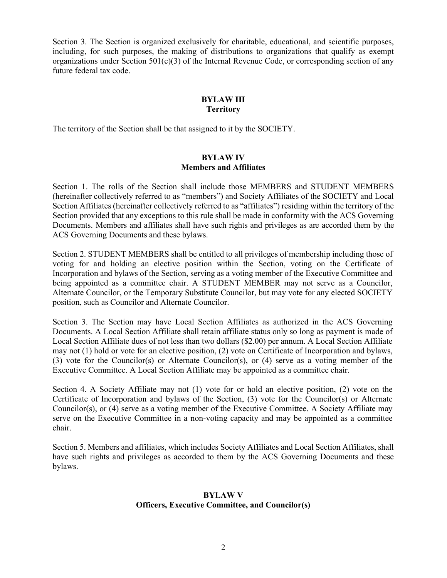Section 3. The Section is organized exclusively for charitable, educational, and scientific purposes, including, for such purposes, the making of distributions to organizations that qualify as exempt organizations under Section  $501(c)(3)$  of the Internal Revenue Code, or corresponding section of any future federal tax code.

# BYLAW III **Territory**

The territory of the Section shall be that assigned to it by the SOCIETY.

# BYLAW IV Members and Affiliates

Section 1. The rolls of the Section shall include those MEMBERS and STUDENT MEMBERS (hereinafter collectively referred to as "members") and Society Affiliates of the SOCIETY and Local Section Affiliates (hereinafter collectively referred to as "affiliates") residing within the territory of the Section provided that any exceptions to this rule shall be made in conformity with the ACS Governing Documents. Members and affiliates shall have such rights and privileges as are accorded them by the ACS Governing Documents and these bylaws.

Section 2. STUDENT MEMBERS shall be entitled to all privileges of membership including those of voting for and holding an elective position within the Section, voting on the Certificate of Incorporation and bylaws of the Section, serving as a voting member of the Executive Committee and being appointed as a committee chair. A STUDENT MEMBER may not serve as a Councilor, Alternate Councilor, or the Temporary Substitute Councilor, but may vote for any elected SOCIETY position, such as Councilor and Alternate Councilor.

Section 3. The Section may have Local Section Affiliates as authorized in the ACS Governing Documents. A Local Section Affiliate shall retain affiliate status only so long as payment is made of Local Section Affiliate dues of not less than two dollars (\$2.00) per annum. A Local Section Affiliate may not (1) hold or vote for an elective position, (2) vote on Certificate of Incorporation and bylaws, (3) vote for the Councilor(s) or Alternate Councilor(s), or (4) serve as a voting member of the Executive Committee. A Local Section Affiliate may be appointed as a committee chair.

Section 4. A Society Affiliate may not (1) vote for or hold an elective position, (2) vote on the Certificate of Incorporation and bylaws of the Section, (3) vote for the Councilor(s) or Alternate Councilor(s), or (4) serve as a voting member of the Executive Committee. A Society Affiliate may serve on the Executive Committee in a non-voting capacity and may be appointed as a committee chair.

Section 5. Members and affiliates, which includes Society Affiliates and Local Section Affiliates, shall have such rights and privileges as accorded to them by the ACS Governing Documents and these bylaws.

#### BYLAW V Officers, Executive Committee, and Councilor(s)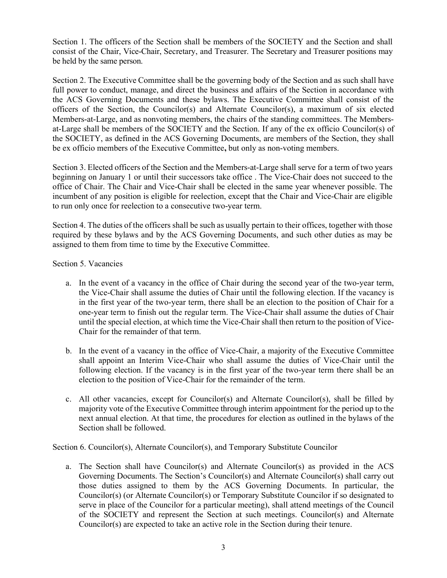Section 1. The officers of the Section shall be members of the SOCIETY and the Section and shall consist of the Chair, Vice-Chair, Secretary, and Treasurer. The Secretary and Treasurer positions may be held by the same person.

Section 2. The Executive Committee shall be the governing body of the Section and as such shall have full power to conduct, manage, and direct the business and affairs of the Section in accordance with the ACS Governing Documents and these bylaws. The Executive Committee shall consist of the officers of the Section, the Councilor(s) and Alternate Councilor(s), a maximum of six elected Members-at-Large, and as nonvoting members, the chairs of the standing committees. The Membersat-Large shall be members of the SOCIETY and the Section. If any of the ex officio Councilor(s) of the SOCIETY, as defined in the ACS Governing Documents, are members of the Section, they shall be ex officio members of the Executive Committee, but only as non-voting members.

Section 3. Elected officers of the Section and the Members-at-Large shall serve for a term of two years beginning on January 1 or until their successors take office . The Vice-Chair does not succeed to the office of Chair. The Chair and Vice-Chair shall be elected in the same year whenever possible. The incumbent of any position is eligible for reelection, except that the Chair and Vice-Chair are eligible to run only once for reelection to a consecutive two-year term.

Section 4. The duties of the officers shall be such as usually pertain to their offices, together with those required by these bylaws and by the ACS Governing Documents, and such other duties as may be assigned to them from time to time by the Executive Committee.

Section 5. Vacancies

- a. In the event of a vacancy in the office of Chair during the second year of the two-year term, the Vice-Chair shall assume the duties of Chair until the following election. If the vacancy is in the first year of the two-year term, there shall be an election to the position of Chair for a one-year term to finish out the regular term. The Vice-Chair shall assume the duties of Chair until the special election, at which time the Vice-Chair shall then return to the position of Vice-Chair for the remainder of that term.
- b. In the event of a vacancy in the office of Vice-Chair, a majority of the Executive Committee shall appoint an Interim Vice-Chair who shall assume the duties of Vice-Chair until the following election. If the vacancy is in the first year of the two-year term there shall be an election to the position of Vice-Chair for the remainder of the term.
- c. All other vacancies, except for Councilor(s) and Alternate Councilor(s), shall be filled by majority vote of the Executive Committee through interim appointment for the period up to the next annual election. At that time, the procedures for election as outlined in the bylaws of the Section shall be followed.

Section 6. Councilor(s), Alternate Councilor(s), and Temporary Substitute Councilor

a. The Section shall have Councilor(s) and Alternate Councilor(s) as provided in the ACS Governing Documents. The Section's Councilor(s) and Alternate Councilor(s) shall carry out those duties assigned to them by the ACS Governing Documents. In particular, the Councilor(s) (or Alternate Councilor(s) or Temporary Substitute Councilor if so designated to serve in place of the Councilor for a particular meeting), shall attend meetings of the Council of the SOCIETY and represent the Section at such meetings. Councilor(s) and Alternate Councilor(s) are expected to take an active role in the Section during their tenure.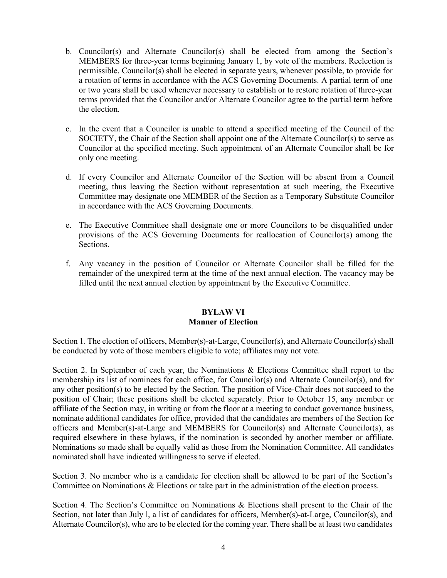- b. Councilor(s) and Alternate Councilor(s) shall be elected from among the Section's MEMBERS for three-year terms beginning January 1, by vote of the members. Reelection is permissible. Councilor(s) shall be elected in separate years, whenever possible, to provide for a rotation of terms in accordance with the ACS Governing Documents. A partial term of one or two years shall be used whenever necessary to establish or to restore rotation of three-year terms provided that the Councilor and/or Alternate Councilor agree to the partial term before the election.
- c. In the event that a Councilor is unable to attend a specified meeting of the Council of the SOCIETY, the Chair of the Section shall appoint one of the Alternate Councilor(s) to serve as Councilor at the specified meeting. Such appointment of an Alternate Councilor shall be for only one meeting.
- d. If every Councilor and Alternate Councilor of the Section will be absent from a Council meeting, thus leaving the Section without representation at such meeting, the Executive Committee may designate one MEMBER of the Section as a Temporary Substitute Councilor in accordance with the ACS Governing Documents.
- e. The Executive Committee shall designate one or more Councilors to be disqualified under provisions of the ACS Governing Documents for reallocation of Councilor(s) among the Sections.
- f. Any vacancy in the position of Councilor or Alternate Councilor shall be filled for the remainder of the unexpired term at the time of the next annual election. The vacancy may be filled until the next annual election by appointment by the Executive Committee.

# BYLAW VI Manner of Election

Section 1. The election of officers, Member(s)-at-Large, Councilor(s), and Alternate Councilor(s) shall be conducted by vote of those members eligible to vote; affiliates may not vote.

Section 2. In September of each year, the Nominations & Elections Committee shall report to the membership its list of nominees for each office, for Councilor(s) and Alternate Councilor(s), and for any other position(s) to be elected by the Section. The position of Vice-Chair does not succeed to the position of Chair; these positions shall be elected separately. Prior to October 15, any member or affiliate of the Section may, in writing or from the floor at a meeting to conduct governance business, nominate additional candidates for office, provided that the candidates are members of the Section for officers and Member(s)-at-Large and MEMBERS for Councilor(s) and Alternate Councilor(s), as required elsewhere in these bylaws, if the nomination is seconded by another member or affiliate. Nominations so made shall be equally valid as those from the Nomination Committee. All candidates nominated shall have indicated willingness to serve if elected.

Section 3. No member who is a candidate for election shall be allowed to be part of the Section's Committee on Nominations & Elections or take part in the administration of the election process.

Section 4. The Section's Committee on Nominations & Elections shall present to the Chair of the Section, not later than July 1, a list of candidates for officers, Member(s)-at-Large, Councilor(s), and Alternate Councilor(s), who are to be elected for the coming year. There shall be at least two candidates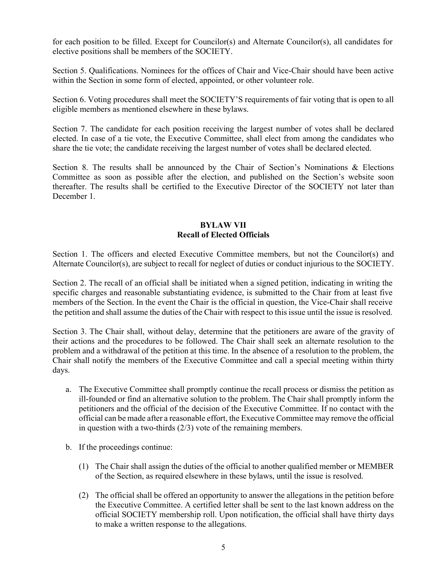for each position to be filled. Except for Councilor(s) and Alternate Councilor(s), all candidates for elective positions shall be members of the SOCIETY.

Section 5. Qualifications. Nominees for the offices of Chair and Vice-Chair should have been active within the Section in some form of elected, appointed, or other volunteer role.

Section 6. Voting procedures shall meet the SOCIETY'S requirements of fair voting that is open to all eligible members as mentioned elsewhere in these bylaws.

Section 7. The candidate for each position receiving the largest number of votes shall be declared elected. In case of a tie vote, the Executive Committee, shall elect from among the candidates who share the tie vote; the candidate receiving the largest number of votes shall be declared elected.

Section 8. The results shall be announced by the Chair of Section's Nominations & Elections Committee as soon as possible after the election, and published on the Section's website soon thereafter. The results shall be certified to the Executive Director of the SOCIETY not later than December 1.

# BYLAW VII Recall of Elected Officials

Section 1. The officers and elected Executive Committee members, but not the Councilor(s) and Alternate Councilor(s), are subject to recall for neglect of duties or conduct injurious to the SOCIETY.

Section 2. The recall of an official shall be initiated when a signed petition, indicating in writing the specific charges and reasonable substantiating evidence, is submitted to the Chair from at least five members of the Section. In the event the Chair is the official in question, the Vice-Chair shall receive the petition and shall assume the duties of the Chair with respect to this issue until the issue is resolved.

Section 3. The Chair shall, without delay, determine that the petitioners are aware of the gravity of their actions and the procedures to be followed. The Chair shall seek an alternate resolution to the problem and a withdrawal of the petition at this time. In the absence of a resolution to the problem, the Chair shall notify the members of the Executive Committee and call a special meeting within thirty days.

- a. The Executive Committee shall promptly continue the recall process or dismiss the petition as ill-founded or find an alternative solution to the problem. The Chair shall promptly inform the petitioners and the official of the decision of the Executive Committee. If no contact with the official can be made after a reasonable effort, the Executive Committee may remove the official in question with a two-thirds (2/3) vote of the remaining members.
- b. If the proceedings continue:
	- (1) The Chair shall assign the duties of the official to another qualified member or MEMBER of the Section, as required elsewhere in these bylaws, until the issue is resolved.
	- (2) The official shall be offered an opportunity to answer the allegations in the petition before the Executive Committee. A certified letter shall be sent to the last known address on the official SOCIETY membership roll. Upon notification, the official shall have thirty days to make a written response to the allegations.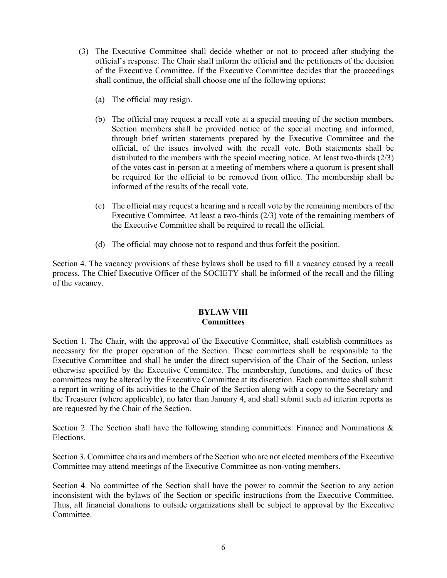- (3) The Executive Committee shall decide whether or not to proceed after studying the official's response. The Chair shall inform the official and the petitioners of the decision of the Executive Committee. If the Executive Committee decides that the proceedings shall continue, the official shall choose one of the following options:
	- (a) The official may resign.
	- (b) The official may request a recall vote at a special meeting of the section members. Section members shall be provided notice of the special meeting and informed, through brief written statements prepared by the Executive Committee and the official, of the issues involved with the recall vote. Both statements shall be distributed to the members with the special meeting notice. At least two-thirds (2/3) of the votes cast in-person at a meeting of members where a quorum is present shall be required for the official to be removed from office. The membership shall be informed of the results of the recall vote.
	- (c) The official may request a hearing and a recall vote by the remaining members of the Executive Committee. At least a two-thirds (2/3) vote of the remaining members of the Executive Committee shall be required to recall the official.
	- (d) The official may choose not to respond and thus forfeit the position.

Section 4. The vacancy provisions of these bylaws shall be used to fill a vacancy caused by a recall process. The Chief Executive Officer of the SOCIETY shall be informed of the recall and the filling of the vacancy.

# BYLAW VIII **Committees**

Section 1. The Chair, with the approval of the Executive Committee, shall establish committees as necessary for the proper operation of the Section. These committees shall be responsible to the Executive Committee and shall be under the direct supervision of the Chair of the Section, unless otherwise specified by the Executive Committee. The membership, functions, and duties of these committees may be altered by the Executive Committee at its discretion. Each committee shall submit a report in writing of its activities to the Chair of the Section along with a copy to the Secretary and the Treasurer (where applicable), no later than January 4, and shall submit such ad interim reports as are requested by the Chair of the Section.

Section 2. The Section shall have the following standing committees: Finance and Nominations & Elections.

Section 3. Committee chairs and members of the Section who are not elected members of the Executive Committee may attend meetings of the Executive Committee as non-voting members.

Section 4. No committee of the Section shall have the power to commit the Section to any action inconsistent with the bylaws of the Section or specific instructions from the Executive Committee. Thus, all financial donations to outside organizations shall be subject to approval by the Executive Committee.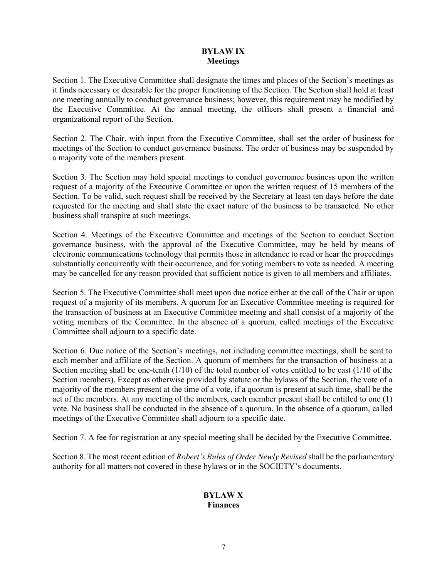# BYLAW IX Meetings

Section 1. The Executive Committee shall designate the times and places of the Section's meetings as it finds necessary or desirable for the proper functioning of the Section. The Section shall hold at least one meeting annually to conduct governance business; however, this requirement may be modified by the Executive Committee. At the annual meeting, the officers shall present a financial and organizational report of the Section.

Section 2. The Chair, with input from the Executive Committee, shall set the order of business for meetings of the Section to conduct governance business. The order of business may be suspended by a majority vote of the members present.

Section 3. The Section may hold special meetings to conduct governance business upon the written request of a majority of the Executive Committee or upon the written request of 15 members of the Section. To be valid, such request shall be received by the Secretary at least ten days before the date requested for the meeting and shall state the exact nature of the business to be transacted. No other business shall transpire at such meetings.

Section 4. Meetings of the Executive Committee and meetings of the Section to conduct Section governance business, with the approval of the Executive Committee, may be held by means of electronic communications technology that permits those in attendance to read or hear the proceedings substantially concurrently with their occurrence, and for voting members to vote as needed. A meeting may be cancelled for any reason provided that sufficient notice is given to all members and affiliates.

Section 5. The Executive Committee shall meet upon due notice either at the call of the Chair or upon request of a majority of its members. A quorum for an Executive Committee meeting is required for the transaction of business at an Executive Committee meeting and shall consist of a majority of the voting members of the Committee. In the absence of a quorum, called meetings of the Executive Committee shall adjourn to a specific date.

Section 6. Due notice of the Section's meetings, not including committee meetings, shall be sent to each member and affiliate of the Section. A quorum of members for the transaction of business at a Section meeting shall be one-tenth (1/10) of the total number of votes entitled to be cast (1/10 of the Section members). Except as otherwise provided by statute or the bylaws of the Section, the vote of a majority of the members present at the time of a vote, if a quorum is present at such time, shall be the act of the members. At any meeting of the members, each member present shall be entitled to one (1) vote. No business shall be conducted in the absence of a quorum. In the absence of a quorum, called meetings of the Executive Committee shall adjourn to a specific date.

Section 7. A fee for registration at any special meeting shall be decided by the Executive Committee.

Section 8. The most recent edition of Robert's Rules of Order Newly Revised shall be the parliamentary authority for all matters not covered in these bylaws or in the SOCIETY's documents.

# BYLAW X Finances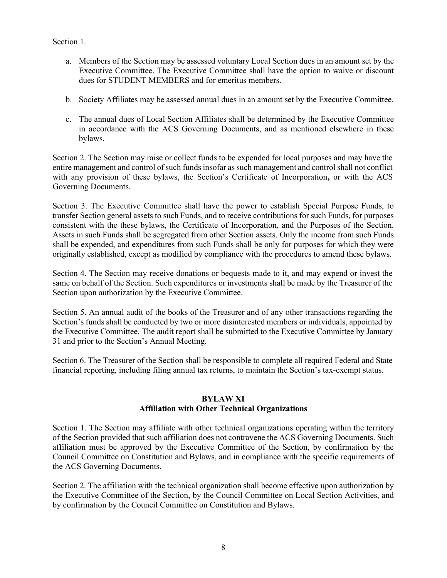Section 1.

- a. Members of the Section may be assessed voluntary Local Section dues in an amount set by the Executive Committee. The Executive Committee shall have the option to waive or discount dues for STUDENT MEMBERS and for emeritus members.
- b. Society Affiliates may be assessed annual dues in an amount set by the Executive Committee.
- c. The annual dues of Local Section Affiliates shall be determined by the Executive Committee in accordance with the ACS Governing Documents, and as mentioned elsewhere in these bylaws.

Section 2. The Section may raise or collect funds to be expended for local purposes and may have the entire management and control of such funds insofar as such management and control shall not conflict with any provision of these bylaws, the Section's Certificate of Incorporation, or with the ACS Governing Documents.

Section 3. The Executive Committee shall have the power to establish Special Purpose Funds, to transfer Section general assets to such Funds, and to receive contributions for such Funds, for purposes consistent with the these bylaws, the Certificate of Incorporation, and the Purposes of the Section. Assets in such Funds shall be segregated from other Section assets. Only the income from such Funds shall be expended, and expenditures from such Funds shall be only for purposes for which they were originally established, except as modified by compliance with the procedures to amend these bylaws.

Section 4. The Section may receive donations or bequests made to it, and may expend or invest the same on behalf of the Section. Such expenditures or investments shall be made by the Treasurer of the Section upon authorization by the Executive Committee.

Section 5. An annual audit of the books of the Treasurer and of any other transactions regarding the Section's funds shall be conducted by two or more disinterested members or individuals, appointed by the Executive Committee. The audit report shall be submitted to the Executive Committee by January 31 and prior to the Section's Annual Meeting.

Section 6. The Treasurer of the Section shall be responsible to complete all required Federal and State financial reporting, including filing annual tax returns, to maintain the Section's tax-exempt status.

# BYLAW XI

# Affiliation with Other Technical Organizations

Section 1. The Section may affiliate with other technical organizations operating within the territory of the Section provided that such affiliation does not contravene the ACS Governing Documents. Such affiliation must be approved by the Executive Committee of the Section, by confirmation by the Council Committee on Constitution and Bylaws, and in compliance with the specific requirements of the ACS Governing Documents.

Section 2. The affiliation with the technical organization shall become effective upon authorization by the Executive Committee of the Section, by the Council Committee on Local Section Activities, and by confirmation by the Council Committee on Constitution and Bylaws.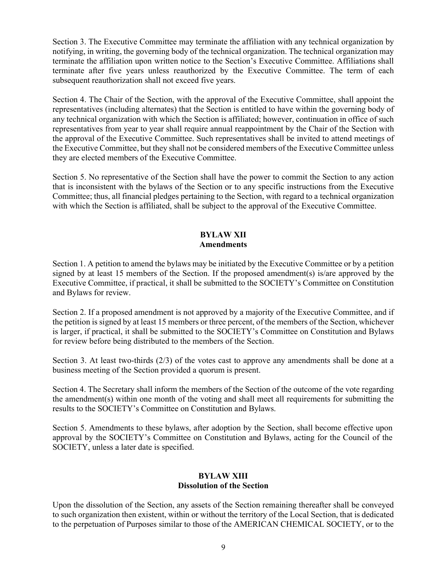Section 3. The Executive Committee may terminate the affiliation with any technical organization by notifying, in writing, the governing body of the technical organization. The technical organization may terminate the affiliation upon written notice to the Section's Executive Committee. Affiliations shall terminate after five years unless reauthorized by the Executive Committee. The term of each subsequent reauthorization shall not exceed five years.

Section 4. The Chair of the Section, with the approval of the Executive Committee, shall appoint the representatives (including alternates) that the Section is entitled to have within the governing body of any technical organization with which the Section is affiliated; however, continuation in office of such representatives from year to year shall require annual reappointment by the Chair of the Section with the approval of the Executive Committee. Such representatives shall be invited to attend meetings of the Executive Committee, but they shall not be considered members of the Executive Committee unless they are elected members of the Executive Committee.

Section 5. No representative of the Section shall have the power to commit the Section to any action that is inconsistent with the bylaws of the Section or to any specific instructions from the Executive Committee; thus, all financial pledges pertaining to the Section, with regard to a technical organization with which the Section is affiliated, shall be subject to the approval of the Executive Committee.

# BYLAW XII Amendments

Section 1. A petition to amend the bylaws may be initiated by the Executive Committee or by a petition signed by at least 15 members of the Section. If the proposed amendment(s) is/are approved by the Executive Committee, if practical, it shall be submitted to the SOCIETY's Committee on Constitution and Bylaws for review.

Section 2. If a proposed amendment is not approved by a majority of the Executive Committee, and if the petition is signed by at least 15 members or three percent, of the members of the Section, whichever is larger, if practical, it shall be submitted to the SOCIETY's Committee on Constitution and Bylaws for review before being distributed to the members of the Section.

Section 3. At least two-thirds (2/3) of the votes cast to approve any amendments shall be done at a business meeting of the Section provided a quorum is present.

Section 4. The Secretary shall inform the members of the Section of the outcome of the vote regarding the amendment(s) within one month of the voting and shall meet all requirements for submitting the results to the SOCIETY's Committee on Constitution and Bylaws.

Section 5. Amendments to these bylaws, after adoption by the Section, shall become effective upon approval by the SOCIETY's Committee on Constitution and Bylaws, acting for the Council of the SOCIETY, unless a later date is specified.

# BYLAW XIII Dissolution of the Section

Upon the dissolution of the Section, any assets of the Section remaining thereafter shall be conveyed to such organization then existent, within or without the territory of the Local Section, that is dedicated to the perpetuation of Purposes similar to those of the AMERICAN CHEMICAL SOCIETY, or to the